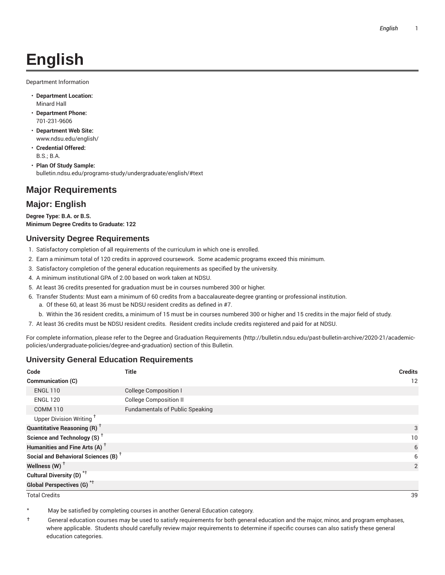# **English**

Department Information

- **Department Location:** Minard Hall
- **Department Phone:** 701-231-9606
- **Department Web Site:** www.ndsu.edu/english/
- **Credential Offered:** B.S.; B.A.
- **Plan Of Study Sample:** bulletin.ndsu.edu/programs-study/undergraduate/english/#text

### **Major Requirements**

### **Major: English**

**Degree Type: B.A. or B.S. Minimum Degree Credits to Graduate: 122**

### **University Degree Requirements**

- 1. Satisfactory completion of all requirements of the curriculum in which one is enrolled.
- 2. Earn a minimum total of 120 credits in approved coursework. Some academic programs exceed this minimum.
- 3. Satisfactory completion of the general education requirements as specified by the university.
- 4. A minimum institutional GPA of 2.00 based on work taken at NDSU.
- 5. At least 36 credits presented for graduation must be in courses numbered 300 or higher.
- 6. Transfer Students: Must earn a minimum of 60 credits from a baccalaureate-degree granting or professional institution.
	- a. Of these 60, at least 36 must be NDSU resident credits as defined in #7.
	- b. Within the 36 resident credits, a minimum of 15 must be in courses numbered 300 or higher and 15 credits in the major field of study.
- 7. At least 36 credits must be NDSU resident credits. Resident credits include credits registered and paid for at NDSU.

For complete information, please refer to the Degree and Graduation Requirements (http://bulletin.ndsu.edu/past-bulletin-archive/2020-21/academicpolicies/undergraduate-policies/degree-and-graduation) section of this Bulletin.

### **University General Education Requirements**

| Code                                            | <b>Title</b>                           | <b>Credits</b> |
|-------------------------------------------------|----------------------------------------|----------------|
| Communication (C)                               |                                        | 12             |
| <b>ENGL 110</b>                                 | <b>College Composition I</b>           |                |
| <b>ENGL 120</b>                                 | <b>College Composition II</b>          |                |
| <b>COMM 110</b>                                 | <b>Fundamentals of Public Speaking</b> |                |
| Upper Division Writing <sup>+</sup>             |                                        |                |
| <b>Quantitative Reasoning (R)</b> <sup>†</sup>  |                                        | 3              |
| Science and Technology (S) <sup>+</sup>         |                                        | 10             |
| Humanities and Fine Arts (A) <sup>+</sup>       |                                        | 6              |
| Social and Behavioral Sciences (B) <sup>+</sup> |                                        | 6              |
| Wellness $(W)$ <sup>+</sup>                     |                                        | 2              |
| Cultural Diversity (D) <sup>*†</sup>            |                                        |                |
| <b>Global Perspectives (G)<sup>*†</sup></b>     |                                        |                |

Total Credits 39

May be satisfied by completing courses in another General Education category.

† General education courses may be used to satisfy requirements for both general education and the major, minor, and program emphases, where applicable. Students should carefully review major requirements to determine if specific courses can also satisfy these general education categories.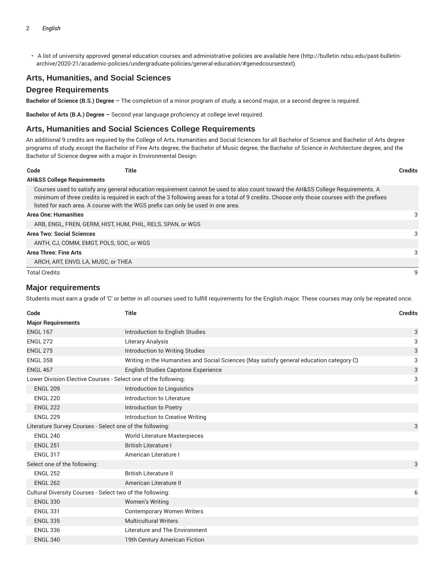• A list of university approved general education courses and administrative policies are available here (http://bulletin.ndsu.edu/past-bulletinarchive/2020-21/academic-policies/undergraduate-policies/general-education/#genedcoursestext).

### **Arts, Humanities, and Social Sciences**

#### **Degree Requirements**

**Bachelor of Science (B.S.) Degree –** The completion of a minor program of study, a second major, or a second degree is required.

**Bachelor of Arts (B.A.) Degree –** Second year language proficiency at college level required.

#### **Arts, Humanities and Social Sciences College Requirements**

An additional 9 credits are required by the College of Arts, Humanities and Social Sciences for all Bachelor of Science and Bachelor of Arts degree programs of study, except the Bachelor of Fine Arts degree, the Bachelor of Music degree, the Bachelor of Science in Architecture degree, and the Bachelor of Science degree with a major in Environmental Design:

| Code                 | Title                                                                                                                                                                                                                                                                                                                                                              | <b>Credits</b> |
|----------------------|--------------------------------------------------------------------------------------------------------------------------------------------------------------------------------------------------------------------------------------------------------------------------------------------------------------------------------------------------------------------|----------------|
|                      | <b>AH&amp;SS College Requirements</b>                                                                                                                                                                                                                                                                                                                              |                |
|                      | Courses used to satisfy any general education requirement cannot be used to also count toward the AH&SS College Requirements. A<br>minimum of three credits is required in each of the 3 following areas for a total of 9 credits. Choose only those courses with the prefixes<br>listed for each area. A course with the WGS prefix can only be used in one area. |                |
|                      | <b>Area One: Humanities</b>                                                                                                                                                                                                                                                                                                                                        | 3              |
|                      | ARB, ENGL, FREN, GERM, HIST, HUM, PHIL, RELS, SPAN, or WGS                                                                                                                                                                                                                                                                                                         |                |
|                      | <b>Area Two: Social Sciences</b>                                                                                                                                                                                                                                                                                                                                   | 3              |
|                      | ANTH. CJ. COMM. EMGT. POLS. SOC. or WGS                                                                                                                                                                                                                                                                                                                            |                |
|                      | Area Three: Fine Arts                                                                                                                                                                                                                                                                                                                                              | 3              |
|                      | ARCH, ART, ENVD, LA, MUSC, or THEA                                                                                                                                                                                                                                                                                                                                 |                |
| <b>Total Credits</b> |                                                                                                                                                                                                                                                                                                                                                                    | q              |

### **Major requirements**

Students must earn a grade of 'C' or better in all courses used to fulfill requirements for the English major. These courses may only be repeated once.

| Code                                                           | <b>Title</b>                                                                             | <b>Credits</b> |
|----------------------------------------------------------------|------------------------------------------------------------------------------------------|----------------|
| <b>Major Requirements</b>                                      |                                                                                          |                |
| <b>ENGL 167</b>                                                | Introduction to English Studies                                                          | 3              |
| <b>ENGL 272</b>                                                | Literary Analysis                                                                        | 3              |
| <b>ENGL 275</b>                                                | Introduction to Writing Studies                                                          | 3              |
| <b>ENGL 358</b>                                                | Writing in the Humanities and Social Sciences (May satisfy general education category C) | 3              |
| <b>ENGL 467</b>                                                | <b>English Studies Capstone Experience</b>                                               | 3              |
| Lower Division Elective Courses - Select one of the following: |                                                                                          | 3              |
| <b>ENGL 209</b>                                                | Introduction to Linguistics                                                              |                |
| <b>ENGL 220</b>                                                | Introduction to Literature                                                               |                |
| <b>ENGL 222</b>                                                | Introduction to Poetry                                                                   |                |
| <b>ENGL 229</b>                                                | Introduction to Creative Writing                                                         |                |
| Literature Survey Courses - Select one of the following:       |                                                                                          | 3              |
| <b>ENGL 240</b>                                                | <b>World Literature Masterpieces</b>                                                     |                |
| <b>ENGL 251</b>                                                | <b>British Literature I</b>                                                              |                |
| <b>ENGL 317</b>                                                | American Literature I                                                                    |                |
| Select one of the following:                                   |                                                                                          | 3              |
| <b>ENGL 252</b>                                                | <b>British Literature II</b>                                                             |                |
| <b>ENGL 262</b>                                                | American Literature II                                                                   |                |
| Cultural Diversity Courses - Select two of the following:      |                                                                                          | 6              |
| <b>ENGL 330</b>                                                | <b>Women's Writing</b>                                                                   |                |
| <b>ENGL 331</b>                                                | <b>Contemporary Women Writers</b>                                                        |                |
| <b>ENGL 335</b>                                                | <b>Multicultural Writers</b>                                                             |                |
| <b>ENGL 336</b>                                                | Literature and The Environment                                                           |                |
| <b>ENGL 340</b>                                                | 19th Century American Fiction                                                            |                |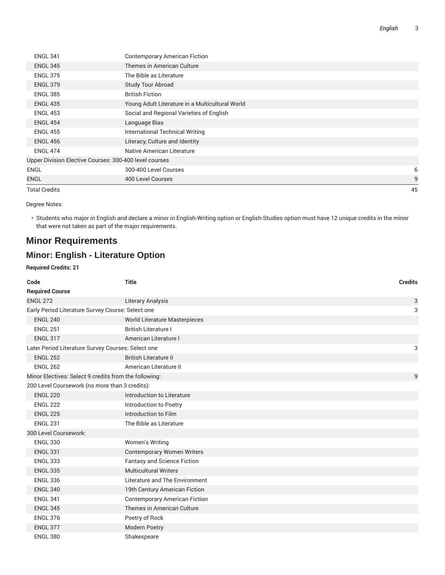| English |  |
|---------|--|
|         |  |

| <b>ENGL 341</b>                                        | <b>Contemporary American Fiction</b>            |    |  |
|--------------------------------------------------------|-------------------------------------------------|----|--|
| <b>ENGL 345</b>                                        | Themes in American Culture                      |    |  |
| <b>ENGL 375</b>                                        | The Bible as Literature                         |    |  |
| <b>ENGL 379</b>                                        | <b>Study Tour Abroad</b>                        |    |  |
| <b>ENGL 385</b>                                        | <b>British Fiction</b>                          |    |  |
| <b>ENGL 435</b>                                        | Young Adult Literature in a Multicultural World |    |  |
| <b>ENGL 453</b>                                        | Social and Regional Varieties of English        |    |  |
| <b>ENGL 454</b>                                        | Language Bias                                   |    |  |
| <b>ENGL 455</b>                                        | International Technical Writing                 |    |  |
| <b>ENGL 456</b>                                        | Literacy, Culture and Identity                  |    |  |
| <b>ENGL 474</b>                                        | Native American Literature                      |    |  |
| Upper Division Elective Courses: 300-400 level courses |                                                 |    |  |
| ENGL                                                   | 300-400 Level Courses                           | 6  |  |
| <b>ENGL</b>                                            | 400 Level Courses                               | 9  |  |
| <b>Total Credits</b>                                   |                                                 | 45 |  |

Degree Notes:

• Students who major in English and declare a minor in English-Writing option or English-Studies option must have 12 unique credits in the minor that were not taken as part of the major requirements.

# **Minor Requirements**

## **Minor: English - Literature Option**

#### **Required Credits: 21**

| Code                                                  | <b>Title</b>                         | <b>Credits</b> |
|-------------------------------------------------------|--------------------------------------|----------------|
| <b>Required Course</b>                                |                                      |                |
| <b>ENGL 272</b>                                       | <b>Literary Analysis</b>             | 3              |
| Early Period Literature Survey Course: Select one     |                                      | 3              |
| <b>ENGL 240</b>                                       | World Literature Masterpieces        |                |
| <b>ENGL 251</b>                                       | <b>British Literature I</b>          |                |
| <b>ENGL 317</b>                                       | American Literature I                |                |
| Later Period Literature Survey Courses: Select one    |                                      | 3              |
| <b>ENGL 252</b>                                       | <b>British Literature II</b>         |                |
| <b>ENGL 262</b>                                       | American Literature II               |                |
| Minor Electives: Select 9 credits from the following: |                                      | 9              |
| 200 Level Coursework (no more than 3 credits):        |                                      |                |
| <b>ENGL 220</b>                                       | Introduction to Literature           |                |
| <b>ENGL 222</b>                                       | Introduction to Poetry               |                |
| <b>ENGL 225</b>                                       | Introduction to Film                 |                |
| <b>ENGL 231</b>                                       | The Bible as Literature              |                |
| 300 Level Coursework:                                 |                                      |                |
| <b>ENGL 330</b>                                       | Women's Writing                      |                |
| <b>ENGL 331</b>                                       | <b>Contemporary Women Writers</b>    |                |
| <b>ENGL 333</b>                                       | <b>Fantasy and Science Fiction</b>   |                |
| <b>ENGL 335</b>                                       | <b>Multicultural Writers</b>         |                |
| <b>ENGL 336</b>                                       | Literature and The Environment       |                |
| <b>ENGL 340</b>                                       | 19th Century American Fiction        |                |
| <b>ENGL 341</b>                                       | <b>Contemporary American Fiction</b> |                |
| <b>ENGL 345</b>                                       | Themes in American Culture           |                |
| <b>ENGL 376</b>                                       | Poetry of Rock                       |                |
| <b>ENGL 377</b>                                       | <b>Modern Poetry</b>                 |                |
| <b>ENGL 380</b>                                       | Shakespeare                          |                |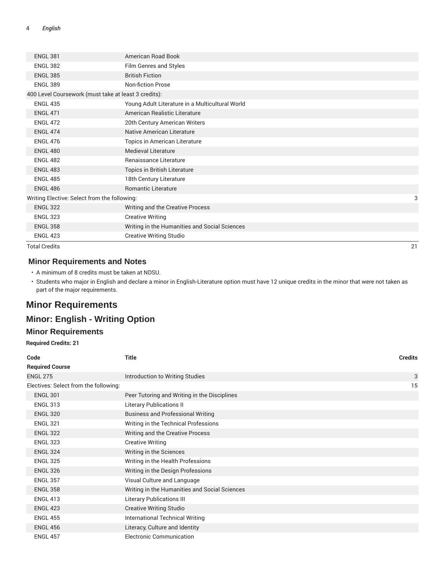| <b>ENGL 381</b>                                      | American Road Book                              |    |
|------------------------------------------------------|-------------------------------------------------|----|
| <b>ENGL 382</b>                                      | Film Genres and Styles                          |    |
| <b>ENGL 385</b>                                      | <b>British Fiction</b>                          |    |
| <b>ENGL 389</b>                                      | <b>Non-fiction Prose</b>                        |    |
| 400 Level Coursework (must take at least 3 credits): |                                                 |    |
| <b>ENGL 435</b>                                      | Young Adult Literature in a Multicultural World |    |
| <b>ENGL 471</b>                                      | American Realistic Literature                   |    |
| <b>ENGL 472</b>                                      | 20th Century American Writers                   |    |
| <b>ENGL 474</b>                                      | <b>Native American Literature</b>               |    |
| <b>ENGL 476</b>                                      | Topics in American Literature                   |    |
| <b>ENGL 480</b>                                      | <b>Medieval Literature</b>                      |    |
| <b>ENGL 482</b>                                      | Renaissance Literature                          |    |
| <b>ENGL 483</b>                                      | Topics in British Literature                    |    |
| <b>ENGL 485</b>                                      | 18th Century Literature                         |    |
| <b>ENGL 486</b>                                      | Romantic Literature                             |    |
| Writing Elective: Select from the following:         |                                                 | 3  |
| <b>ENGL 322</b>                                      | Writing and the Creative Process                |    |
| <b>ENGL 323</b>                                      | <b>Creative Writing</b>                         |    |
| <b>ENGL 358</b>                                      | Writing in the Humanities and Social Sciences   |    |
| <b>ENGL 423</b>                                      | <b>Creative Writing Studio</b>                  |    |
| <b>Total Credits</b>                                 |                                                 | 21 |

### **Minor Requirements and Notes**

• A minimum of 8 credits must be taken at NDSU.

• Students who major in English and declare a minor in English-Literature option must have 12 unique credits in the minor that were not taken as part of the major requirements.

# **Minor Requirements**

### **Minor: English - Writing Option**

### **Minor Requirements**

**Required Credits: 21**

| Code                                  | Title                                         | <b>Credits</b> |
|---------------------------------------|-----------------------------------------------|----------------|
| <b>Required Course</b>                |                                               |                |
| <b>ENGL 275</b>                       | Introduction to Writing Studies               | 3              |
| Electives: Select from the following: |                                               | 15             |
| <b>ENGL 301</b>                       | Peer Tutoring and Writing in the Disciplines  |                |
| <b>ENGL 313</b>                       | <b>Literary Publications II</b>               |                |
| <b>ENGL 320</b>                       | <b>Business and Professional Writing</b>      |                |
| <b>ENGL 321</b>                       | Writing in the Technical Professions          |                |
| <b>ENGL 322</b>                       | Writing and the Creative Process              |                |
| <b>ENGL 323</b>                       | <b>Creative Writing</b>                       |                |
| <b>ENGL 324</b>                       | Writing in the Sciences                       |                |
| <b>ENGL 325</b>                       | Writing in the Health Professions             |                |
| <b>ENGL 326</b>                       | Writing in the Design Professions             |                |
| <b>ENGL 357</b>                       | Visual Culture and Language                   |                |
| <b>ENGL 358</b>                       | Writing in the Humanities and Social Sciences |                |
| <b>ENGL 413</b>                       | <b>Literary Publications III</b>              |                |
| <b>ENGL 423</b>                       | <b>Creative Writing Studio</b>                |                |
| <b>ENGL 455</b>                       | International Technical Writing               |                |
| <b>ENGL 456</b>                       | Literacy, Culture and Identity                |                |
| <b>ENGL 457</b>                       | Electronic Communication                      |                |